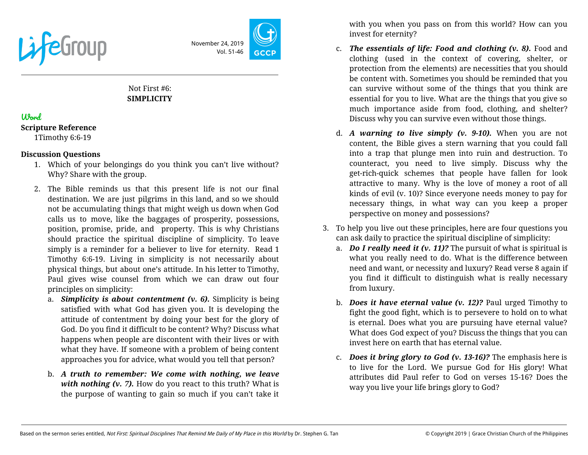

November 24, 2019 Vol. 51-46

# Not First #6: **SIMPLICITY**

## Word

#### **Scripture Reference**

1Timothy 6:6-19

### **Discussion Questions**

- 1. Which of your belongings do you think you can't live without? Why? Share with the group.
- 2. The Bible reminds us that this present life is not our final destination. We are just pilgrims in this land, and so we should not be accumulating things that might weigh us down when God calls us to move, like the baggages of prosperity, possessions, position, promise, pride, and property. This is why Christians should practice the spiritual discipline of simplicity. To leave simply is a reminder for a believer to live for eternity. Read 1 Timothy 6:6-19. Living in simplicity is not necessarily about physical things, but about one's attitude. In his letter to Timothy, Paul gives wise counsel from which we can draw out four principles on simplicity:
	- a. *Simplicity is about contentment (v. 6).* Simplicity is being satisfied with what God has given you. It is developing the attitude of contentment by doing your best for the glory of God. Do you find it difficult to be content? Why? Discuss what happens when people are discontent with their lives or with what they have. If someone with a problem of being content approaches you for advice, what would you tell that person?
	- b. *A truth to remember: We come with nothing, we leave with nothing (v. 7).* How do you react to this truth? What is the purpose of wanting to gain so much if you can't take it

with you when you pass on from this world? How can you invest for eternity?

- c. *The essentials of life: Food and clothing (v. 8).* Food and clothing (used in the context of covering, shelter, or protection from the elements) are necessities that you should be content with. Sometimes you should be reminded that you can survive without some of the things that you think are essential for you to live. What are the things that you give so much importance aside from food, clothing, and shelter? Discuss why you can survive even without those things.
- d. *A warning to live simply (v. 9-10).* When you are not content, the Bible gives a stern warning that you could fall into a trap that plunge men into ruin and destruction. To counteract, you need to live simply. Discuss why the get-rich-quick schemes that people have fallen for look attractive to many. Why is the love of money a root of all kinds of evil (v. 10)? Since everyone needs money to pay for necessary things, in what way can you keep a proper perspective on money and possessions?
- 3. To help you live out these principles, here are four questions you can ask daily to practice the spiritual discipline of simplicity:
	- a. *Do I really need it (v. 11)?* The pursuit of what is spiritual is what you really need to do. What is the difference between need and want, or necessity and luxury? Read verse 8 again if you find it difficult to distinguish what is really necessary from luxury.
	- b. *Does it have eternal value (v. 12)?* Paul urged Timothy to fight the good fight, which is to persevere to hold on to what is eternal. Does what you are pursuing have eternal value? What does God expect of you? Discuss the things that you can invest here on earth that has eternal value.
	- c. *Does it bring glory to God (v. 13-16)?* The emphasis here is to live for the Lord. We pursue God for His glory! What attributes did Paul refer to God on verses 15-16? Does the way you live your life brings glory to God?